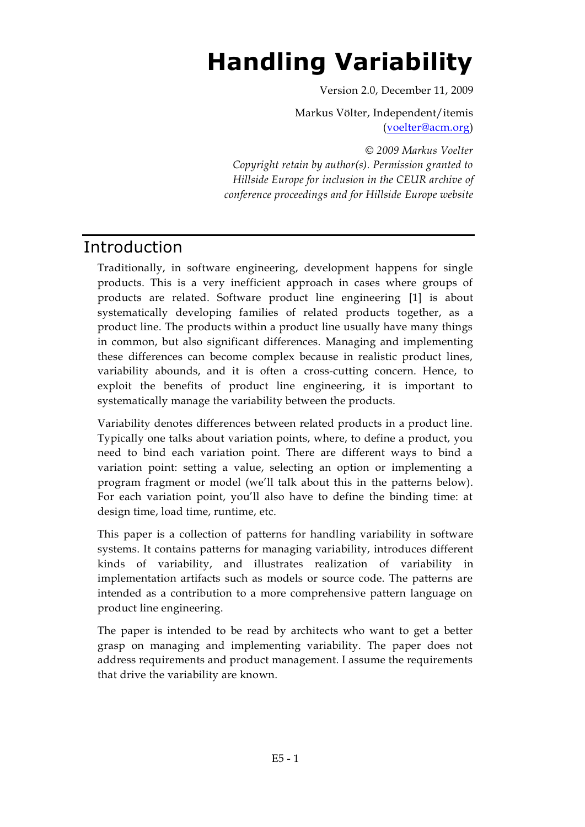# **Handling Variability**

Version 2.0, December 11, 2009

Markus Völter, Independent/itemis [\(voelter@acm.org\)](mailto:voelter@acm.org)

*© 2009 Markus Voelter Copyright retain by author(s). Permission granted to Hillside Europe for inclusion in the CEUR archive of conference proceedings and for Hillside Europe website*

# Introduction

Traditionally, in software engineering, development happens for single products. This is a very inefficient approach in cases where groups of products are related. Software product line engineering [1] is about systematically developing families of related products together, as a product line. The products within a product line usually have many things in common, but also significant differences. Managing and implementing these differences can become complex because in realistic product lines, variability abounds, and it is often a cross-cutting concern. Hence, to exploit the benefits of product line engineering, it is important to systematically manage the variability between the products.

Variability denotes differences between related products in a product line. Typically one talks about variation points, where, to define a product, you need to bind each variation point. There are different ways to bind a variation point: setting a value, selecting an option or implementing a program fragment or model (we'll talk about this in the patterns below). For each variation point, you'll also have to define the binding time: at design time, load time, runtime, etc.

This paper is a collection of patterns for handling variability in software systems. It contains patterns for managing variability, introduces different kinds of variability, and illustrates realization of variability in implementation artifacts such as models or source code. The patterns are intended as a contribution to a more comprehensive pattern language on product line engineering.

The paper is intended to be read by architects who want to get a better grasp on managing and implementing variability. The paper does not address requirements and product management. I assume the requirements that drive the variability are known.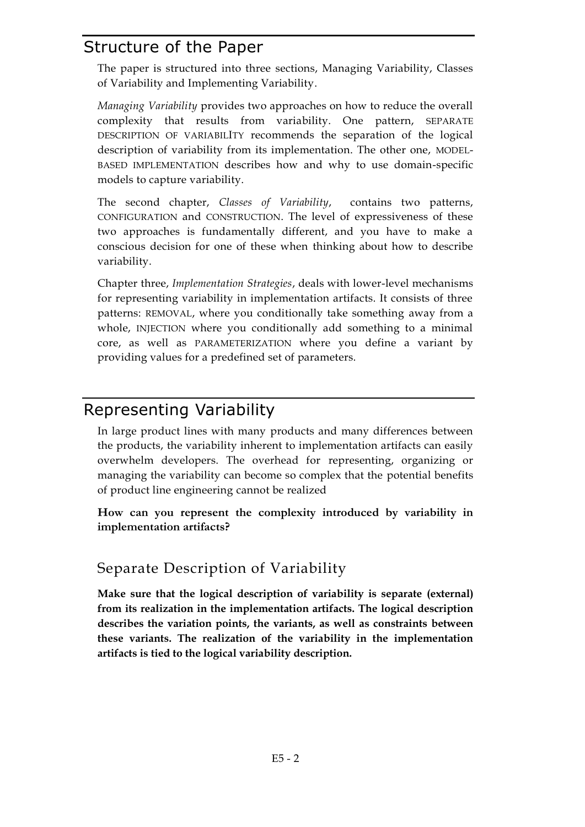# Structure of the Paper

The paper is structured into three sections, Managing Variability, Classes of Variability and Implementing Variability.

*Managing Variability* provides two approaches on how to reduce the overall complexity that results from variability. One pattern, SEPARATE DESCRIPTION OF VARIABILITY recommends the separation of the logical description of variability from its implementation. The other one, MODEL-BASED IMPLEMENTATION describes how and why to use domain-specific models to capture variability.

The second chapter, *Classes of Variability*, contains two patterns, CONFIGURATION and CONSTRUCTION. The level of expressiveness of these two approaches is fundamentally different, and you have to make a conscious decision for one of these when thinking about how to describe variability.

Chapter three, *Implementation Strategies*, deals with lower-level mechanisms for representing variability in implementation artifacts. It consists of three patterns: REMOVAL, where you conditionally take something away from a whole, INJECTION where you conditionally add something to a minimal core, as well as PARAMETERIZATION where you define a variant by providing values for a predefined set of parameters.

# Representing Variability

In large product lines with many products and many differences between the products, the variability inherent to implementation artifacts can easily overwhelm developers. The overhead for representing, organizing or managing the variability can become so complex that the potential benefits of product line engineering cannot be realized

**How can you represent the complexity introduced by variability in implementation artifacts?**

# Separate Description of Variability

**Make sure that the logical description of variability is separate (external) from its realization in the implementation artifacts. The logical description describes the variation points, the variants, as well as constraints between these variants. The realization of the variability in the implementation artifacts is tied to the logical variability description.**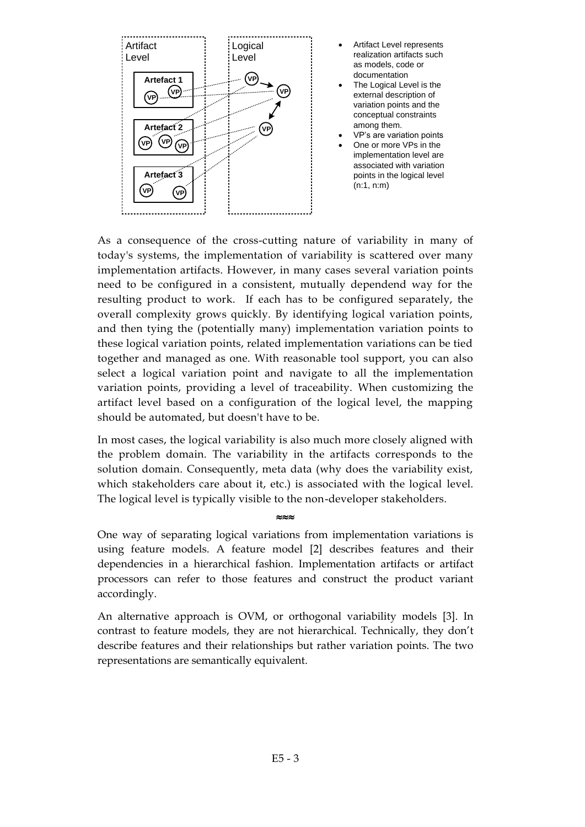

- Artifact Level represents realization artifacts such as models, code or documentation
- The Logical Level is the external description of variation points and the conceptual constraints among them.
- · VP's are variation points
- One or more VPs in the implementation level are associated with variation points in the logical level (n:1, n:m)

As a consequence of the cross-cutting nature of variability in many of today's systems, the implementation of variability is scattered over many implementation artifacts. However, in many cases several variation points need to be configured in a consistent, mutually dependend way for the resulting product to work. If each has to be configured separately, the overall complexity grows quickly. By identifying logical variation points, and then tying the (potentially many) implementation variation points to these logical variation points, related implementation variations can be tied together and managed as one. With reasonable tool support, you can also select a logical variation point and navigate to all the implementation variation points, providing a level of traceability. When customizing the artifact level based on a configuration of the logical level, the mapping should be automated, but doesn't have to be.

In most cases, the logical variability is also much more closely aligned with the problem domain. The variability in the artifacts corresponds to the solution domain. Consequently, meta data (why does the variability exist, which stakeholders care about it, etc.) is associated with the logical level. The logical level is typically visible to the non-developer stakeholders.

One way of separating logical variations from implementation variations is using feature models. A feature model [2] describes features and their dependencies in a hierarchical fashion. Implementation artifacts or artifact processors can refer to those features and construct the product variant accordingly.

≈≈≈

An alternative approach is OVM, or orthogonal variability models [3]. In contrast to feature models, they are not hierarchical. Technically, they don't describe features and their relationships but rather variation points. The two representations are semantically equivalent.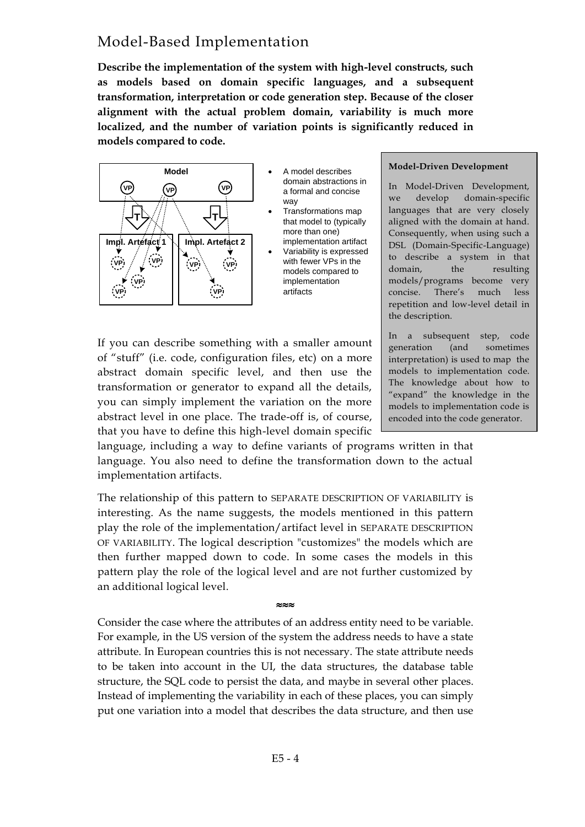## Model-Based Implementation

**Describe the implementation of the system with high-level constructs, such as models based on domain specific languages, and a subsequent transformation, interpretation or code generation step. Because of the closer alignment with the actual problem domain, variability is much more localized, and the number of variation points is significantly reduced in models compared to code.**



- · A model describes domain abstractions in a formal and concise way
- · Transformations map that model to (typically more than one) implementation artifact
- · Variability is expressed with fewer VPs in the models compared to implementation artifacts

#### **Model-Driven Development**

In Model-Driven Development, we develop domain-specific languages that are very closely aligned with the domain at hand. Consequently, when using such a DSL (Domain-Specific-Language) to describe a system in that domain, the resulting models/programs become very concise. There's much less repetition and low-level detail in the description.

If you can describe something with a smaller amount of "stuff" (i.e. code, configuration files, etc) on a more abstract domain specific level, and then use the transformation or generator to expand all the details, you can simply implement the variation on the more abstract level in one place. The trade-off is, of course, that you have to define this high-level domain specific

In a subsequent step, code generation (and sometimes interpretation) is used to map the models to implementation code. The knowledge about how to "expand" the knowledge in the models to implementation code is encoded into the code generator.

language, including a way to define variants of programs written in that language. You also need to define the transformation down to the actual implementation artifacts.

The relationship of this pattern to SEPARATE DESCRIPTION OF VARIABILITY is interesting. As the name suggests, the models mentioned in this pattern play the role of the implementation/artifact level in SEPARATE DESCRIPTION OF VARIABILITY. The logical description "customizes" the models which are then further mapped down to code. In some cases the models in this pattern play the role of the logical level and are not further customized by an additional logical level.

Consider the case where the attributes of an address entity need to be variable. For example, in the US version of the system the address needs to have a state attribute. In European countries this is not necessary. The state attribute needs to be taken into account in the UI, the data structures, the database table structure, the SQL code to persist the data, and maybe in several other places. Instead of implementing the variability in each of these places, you can simply put one variation into a model that describes the data structure, and then use

≈≈≈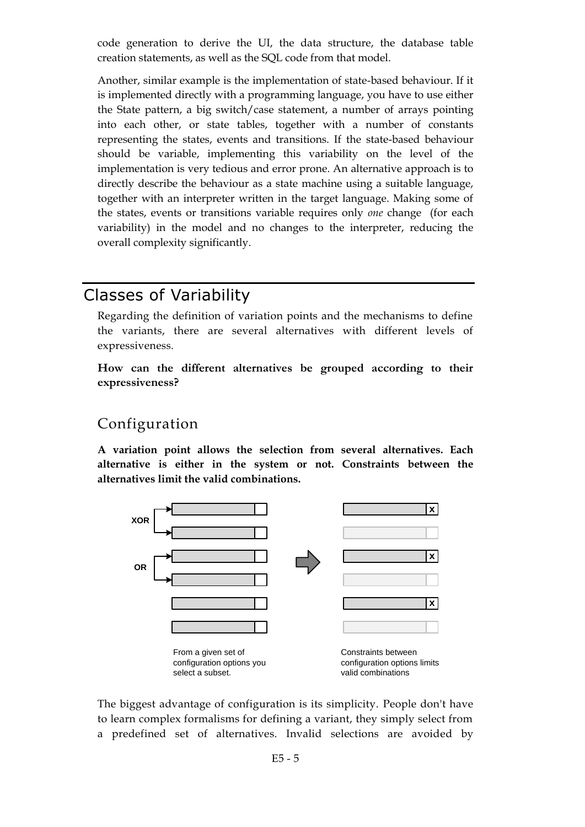code generation to derive the UI, the data structure, the database table creation statements, as well as the SQL code from that model.

Another, similar example is the implementation of state-based behaviour. If it is implemented directly with a programming language, you have to use either the State pattern, a big switch/case statement, a number of arrays pointing into each other, or state tables, together with a number of constants representing the states, events and transitions. If the state-based behaviour should be variable, implementing this variability on the level of the implementation is very tedious and error prone. An alternative approach is to directly describe the behaviour as a state machine using a suitable language, together with an interpreter written in the target language. Making some of the states, events or transitions variable requires only *one* change (for each variability) in the model and no changes to the interpreter, reducing the overall complexity significantly.

# Classes of Variability

Regarding the definition of variation points and the mechanisms to define the variants, there are several alternatives with different levels of expressiveness.

**How can the different alternatives be grouped according to their expressiveness?** 

### Configuration

**A variation point allows the selection from several alternatives. Each alternative is either in the system or not. Constraints between the alternatives limit the valid combinations.**



The biggest advantage of configuration is its simplicity. People don't have to learn complex formalisms for defining a variant, they simply select from a predefined set of alternatives. Invalid selections are avoided by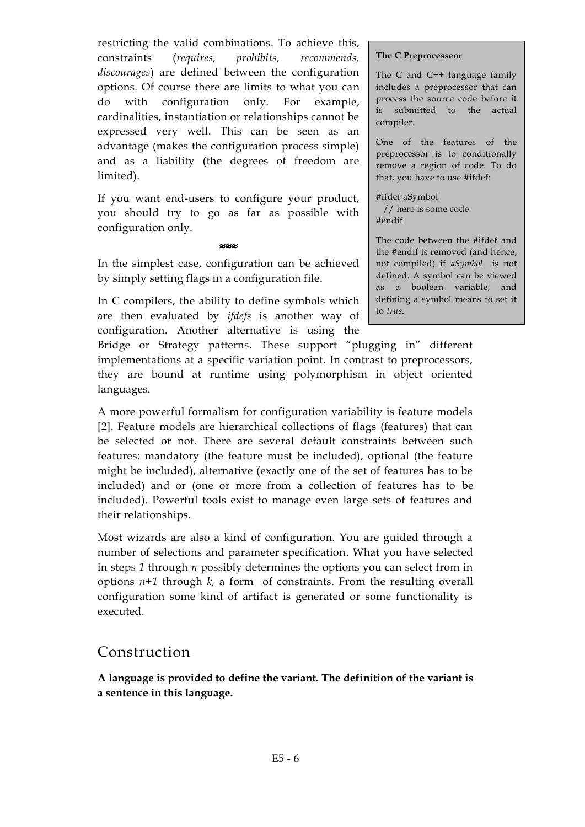restricting the valid combinations. To achieve this, constraints (*requires, prohibits, recommends, discourages*) are defined between the configuration options. Of course there are limits to what you can do with configuration only. For example, cardinalities, instantiation or relationships cannot be expressed very well. This can be seen as an advantage (makes the configuration process simple) and as a liability (the degrees of freedom are limited).

If you want end-users to configure your product, you should try to go as far as possible with configuration only.

In the simplest case, configuration can be achieved by simply setting flags in a configuration file.

≈≈≈

In C compilers, the ability to define symbols which are then evaluated by *ifdefs* is another way of configuration. Another alternative is using the

#### **The C Preprocesseor**

The C and C++ language family includes a preprocessor that can process the source code before it is submitted to the actual compiler.

One of the features of the preprocessor is to conditionally remove a region of code. To do that, you have to use #ifdef:

#ifdef aSymbol // here is some code #endif

The code between the #ifdef and the #endif is removed (and hence, not compiled) if *aSymbol* is not defined. A symbol can be viewed as a boolean variable, and defining a symbol means to set it to *true*.

Bridge or Strategy patterns. These support "plugging in" different implementations at a specific variation point. In contrast to preprocessors, they are bound at runtime using polymorphism in object oriented languages.

A more powerful formalism for configuration variability is feature models [2]. Feature models are hierarchical collections of flags (features) that can be selected or not. There are several default constraints between such features: mandatory (the feature must be included), optional (the feature might be included), alternative (exactly one of the set of features has to be included) and or (one or more from a collection of features has to be included). Powerful tools exist to manage even large sets of features and their relationships.

Most wizards are also a kind of configuration. You are guided through a number of selections and parameter specification. What you have selected in steps *1* through *n* possibly determines the options you can select from in options *n+1* through *k,* a form of constraints. From the resulting overall configuration some kind of artifact is generated or some functionality is executed.

#### Construction

**A language is provided to define the variant. The definition of the variant is a sentence in this language.**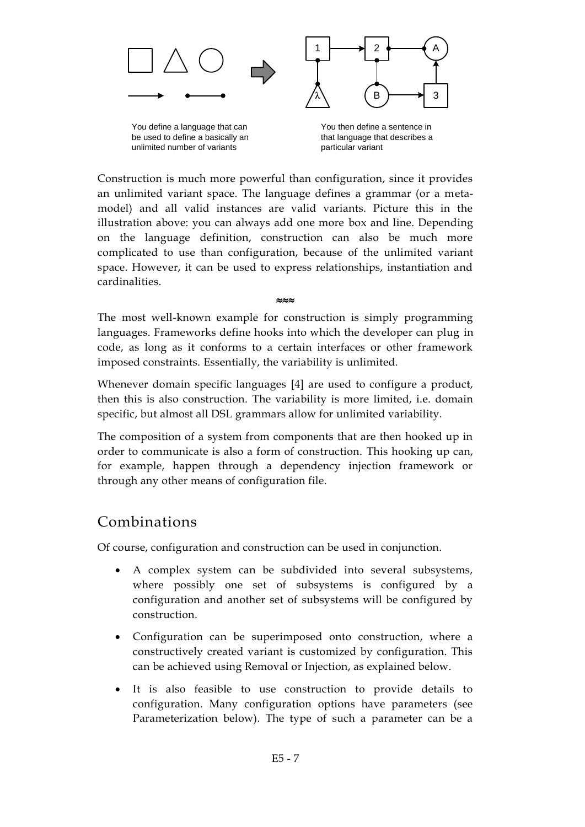

You define a language that can be used to define a basically an You define a language that can and the a sentence in the vertence in that language that describes a<br>be used to define a basically an a particular variant variant unlimited number of variants

Construction is much more powerful than configuration, since it provides an unlimited variant space. The language defines a grammar (or a metamodel) and all valid instances are valid variants. Picture this in the illustration above: you can always add one more box and line. Depending on the language definition, construction can also be much more complicated to use than configuration, because of the unlimited variant space. However, it can be used to express relationships, instantiation and cardinalities.

The most well-known example for construction is simply programming languages. Frameworks define hooks into which the developer can plug in code, as long as it conforms to a certain interfaces or other framework imposed constraints. Essentially, the variability is unlimited.

 $\sim$ 

Whenever domain specific languages [4] are used to configure a product, then this is also construction. The variability is more limited, i.e. domain specific, but almost all DSL grammars allow for unlimited variability.

The composition of a system from components that are then hooked up in order to communicate is also a form of construction. This hooking up can, for example, happen through a dependency injection framework or through any other means of configuration file.

# Combinations

Of course, configuration and construction can be used in conjunction.

- A complex system can be subdivided into several subsystems, where possibly one set of subsystems is configured by a configuration and another set of subsystems will be configured by construction.
- · Configuration can be superimposed onto construction, where a constructively created variant is customized by configuration. This can be achieved using Removal or Injection, as explained below.
- · It is also feasible to use construction to provide details to configuration. Many configuration options have parameters (see Parameterization below). The type of such a parameter can be a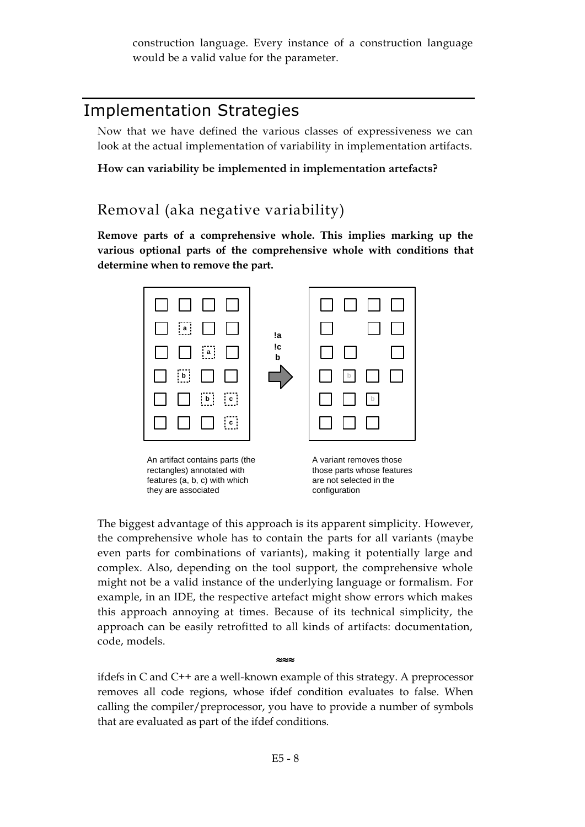construction language. Every instance of a construction language would be a valid value for the parameter.

# Implementation Strategies

Now that we have defined the various classes of expressiveness we can look at the actual implementation of variability in implementation artifacts.

**How can variability be implemented in implementation artefacts?**

# Removal (aka negative variability)

**Remove parts of a comprehensive whole. This implies marking up the various optional parts of the comprehensive whole with conditions that determine when to remove the part.**



The biggest advantage of this approach is its apparent simplicity. However, the comprehensive whole has to contain the parts for all variants (maybe even parts for combinations of variants), making it potentially large and complex. Also, depending on the tool support, the comprehensive whole might not be a valid instance of the underlying language or formalism. For example, in an IDE, the respective artefact might show errors which makes this approach annoying at times. Because of its technical simplicity, the approach can be easily retrofitted to all kinds of artifacts: documentation, code, models.

ifdefs in C and C++ are a well-known example of this strategy. A preprocessor removes all code regions, whose ifdef condition evaluates to false. When calling the compiler/preprocessor, you have to provide a number of symbols that are evaluated as part of the ifdef conditions.

≈≈≈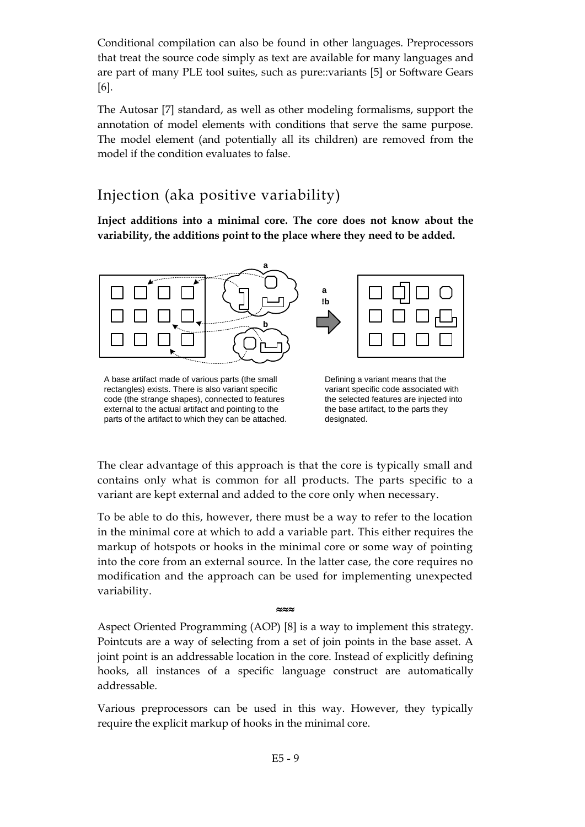Conditional compilation can also be found in other languages. Preprocessors that treat the source code simply as text are available for many languages and are part of many PLE tool suites, such as pure::variants [5] or Software Gears [6].

The Autosar [7] standard, as well as other modeling formalisms, support the annotation of model elements with conditions that serve the same purpose. The model element (and potentially all its children) are removed from the model if the condition evaluates to false.

# Injection (aka positive variability)

**Inject additions into a minimal core. The core does not know about the variability, the additions point to the place where they need to be added.**



A base artifact made of various parts (the small rectangles) exists. There is also variant specific code (the strange shapes), connected to features external to the actual artifact and pointing to the A base artifact made of various parts (the small<br>
rectangles) exists. There is also variant specific code associated with<br>
code (the strange shapes), connected to features<br>
external to the actual artifact and pointing to t

The clear advantage of this approach is that the core is typically small and contains only what is common for all products. The parts specific to a variant are kept external and added to the core only when necessary.

To be able to do this, however, there must be a way to refer to the location in the minimal core at which to add a variable part. This either requires the markup of hotspots or hooks in the minimal core or some way of pointing into the core from an external source. In the latter case, the core requires no modification and the approach can be used for implementing unexpected variability.

Aspect Oriented Programming (AOP) [8] is a way to implement this strategy. Pointcuts are a way of selecting from a set of join points in the base asset. A joint point is an addressable location in the core. Instead of explicitly defining hooks, all instances of a specific language construct are automatically addressable.

≈≈≈

Various preprocessors can be used in this way. However, they typically require the explicit markup of hooks in the minimal core.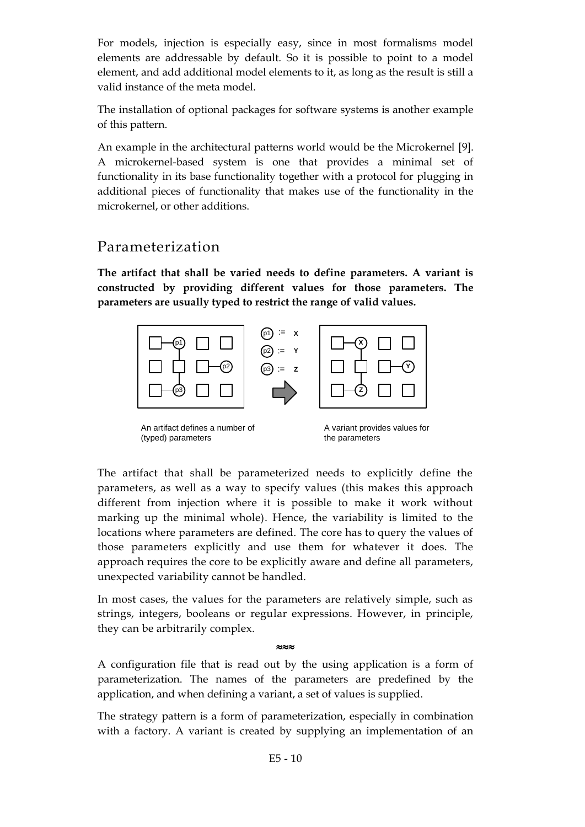For models, injection is especially easy, since in most formalisms model elements are addressable by default. So it is possible to point to a model element, and add additional model elements to it, as long as the result is still a valid instance of the meta model.

The installation of optional packages for software systems is another example of this pattern.

An example in the architectural patterns world would be the Microkernel [9]. A microkernel-based system is one that provides a minimal set of functionality in its base functionality together with a protocol for plugging in additional pieces of functionality that makes use of the functionality in the microkernel, or other additions.

### Parameterization

**The artifact that shall be varied needs to define parameters. A variant is constructed by providing different values for those parameters. The parameters are usually typed to restrict the range of valid values.**



The artifact that shall be parameterized needs to explicitly define the parameters, as well as a way to specify values (this makes this approach different from injection where it is possible to make it work without marking up the minimal whole). Hence, the variability is limited to the locations where parameters are defined. The core has to query the values of those parameters explicitly and use them for whatever it does. The approach requires the core to be explicitly aware and define all parameters, unexpected variability cannot be handled.

In most cases, the values for the parameters are relatively simple, such as strings, integers, booleans or regular expressions. However, in principle, they can be arbitrarily complex.

A configuration file that is read out by the using application is a form of parameterization. The names of the parameters are predefined by the application, and when defining a variant, a set of values is supplied.

 $\approx$  $\approx$ 

The strategy pattern is a form of parameterization, especially in combination with a factory. A variant is created by supplying an implementation of an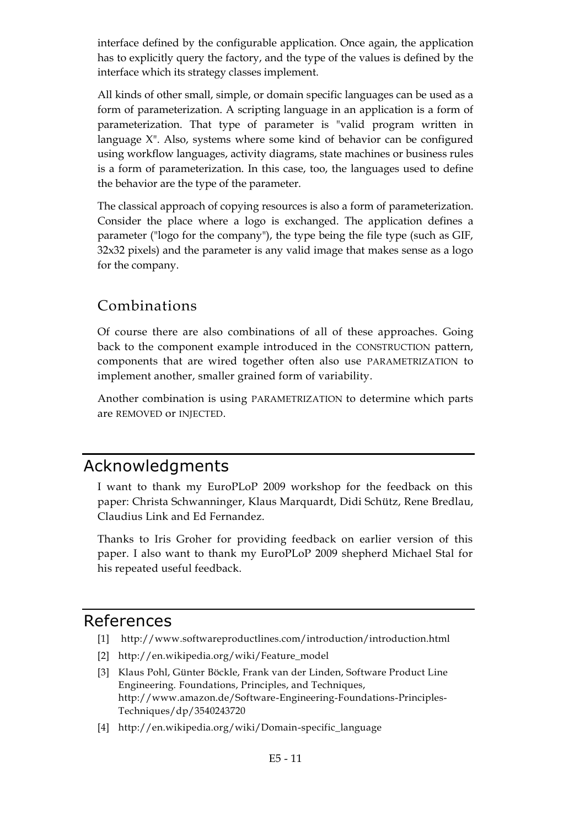interface defined by the configurable application. Once again, the application has to explicitly query the factory, and the type of the values is defined by the interface which its strategy classes implement.

All kinds of other small, simple, or domain specific languages can be used as a form of parameterization. A scripting language in an application is a form of parameterization. That type of parameter is "valid program written in language X". Also, systems where some kind of behavior can be configured using workflow languages, activity diagrams, state machines or business rules is a form of parameterization. In this case, too, the languages used to define the behavior are the type of the parameter.

The classical approach of copying resources is also a form of parameterization. Consider the place where a logo is exchanged. The application defines a parameter ("logo for the company"), the type being the file type (such as GIF, 32x32 pixels) and the parameter is any valid image that makes sense as a logo for the company.

# Combinations

Of course there are also combinations of all of these approaches. Going back to the component example introduced in the CONSTRUCTION pattern, components that are wired together often also use PARAMETRIZATION to implement another, smaller grained form of variability.

Another combination is using PARAMETRIZATION to determine which parts are REMOVED or INJECTED.

# Acknowledgments

I want to thank my EuroPLoP 2009 workshop for the feedback on this paper: Christa Schwanninger, Klaus Marquardt, Didi Schütz, Rene Bredlau, Claudius Link and Ed Fernandez.

Thanks to Iris Groher for providing feedback on earlier version of this paper. I also want to thank my EuroPLoP 2009 shepherd Michael Stal for his repeated useful feedback.

## References

- [1] http://www.softwareproductlines.com/introduction/introduction.html
- [2] http://en.wikipedia.org/wiki/Feature\_model
- [3] Klaus Pohl, Günter Böckle, Frank van der Linden, Software Product Line Engineering. Foundations, Principles, and Techniques, http://www.amazon.de/Software-Engineering-Foundations-Principles-Techniques/dp/3540243720
- [4] http://en.wikipedia.org/wiki/Domain-specific\_language